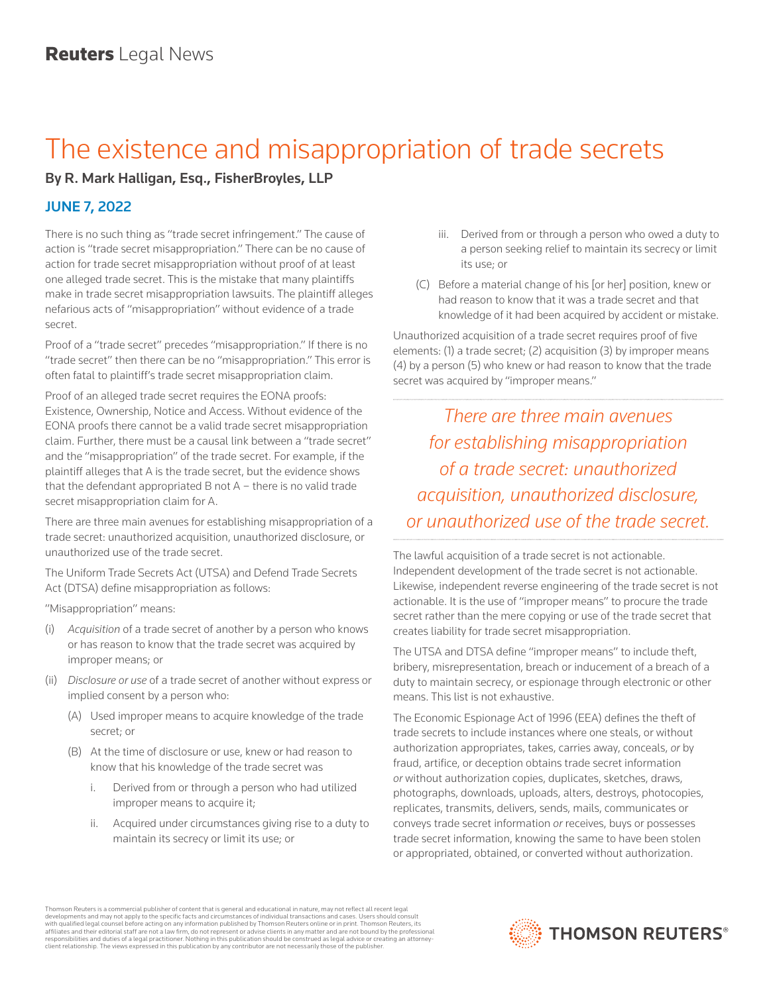## The existence and misappropriation of trade secrets

By R. Mark Halligan, Esq., FisherBroyles, LLP

## JUNE 7, 2022

There is no such thing as "trade secret infringement." The cause of action is "trade secret misappropriation." There can be no cause of action for trade secret misappropriation without proof of at least one alleged trade secret. This is the mistake that many plaintiffs make in trade secret misappropriation lawsuits. The plaintiff alleges nefarious acts of "misappropriation" without evidence of a trade secret.

Proof of a "trade secret" precedes "misappropriation." If there is no "trade secret" then there can be no "misappropriation." This error is often fatal to plaintiff's trade secret misappropriation claim.

Proof of an alleged trade secret requires the EONA proofs: Existence, Ownership, Notice and Access. Without evidence of the EONA proofs there cannot be a valid trade secret misappropriation claim. Further, there must be a causal link between a "trade secret" and the "misappropriation" of the trade secret. For example, if the plaintiff alleges that A is the trade secret, but the evidence shows that the defendant appropriated B not  $A$  – there is no valid trade secret misappropriation claim for A.

There are three main avenues for establishing misappropriation of a trade secret: unauthorized acquisition, unauthorized disclosure, or unauthorized use of the trade secret.

The Uniform Trade Secrets Act (UTSA) and Defend Trade Secrets Act (DTSA) define misappropriation as follows:

"Misappropriation" means:

- (i) *Acquisition* of a trade secret of another by a person who knows or has reason to know that the trade secret was acquired by improper means; or
- (ii) *Disclosure or use* of a trade secret of another without express or implied consent by a person who:
	- (A) Used improper means to acquire knowledge of the trade secret; or
	- (B) At the time of disclosure or use, knew or had reason to know that his knowledge of the trade secret was
		- i. Derived from or through a person who had utilized improper means to acquire it;
		- ii. Acquired under circumstances giving rise to a duty to maintain its secrecy or limit its use; or
- iii. Derived from or through a person who owed a duty to a person seeking relief to maintain its secrecy or limit its use; or
- (C) Before a material change of his [or her] position, knew or had reason to know that it was a trade secret and that knowledge of it had been acquired by accident or mistake.

Unauthorized acquisition of a trade secret requires proof of five elements: (1) a trade secret; (2) acquisition (3) by improper means (4) by a person (5) who knew or had reason to know that the trade secret was acquired by "improper means."

*There are three main avenues for establishing misappropriation of a trade secret: unauthorized acquisition, unauthorized disclosure, or unauthorized use of the trade secret.*

The lawful acquisition of a trade secret is not actionable. Independent development of the trade secret is not actionable. Likewise, independent reverse engineering of the trade secret is not actionable. It is the use of "improper means" to procure the trade secret rather than the mere copying or use of the trade secret that creates liability for trade secret misappropriation.

The UTSA and DTSA define "improper means" to include theft, bribery, misrepresentation, breach or inducement of a breach of a duty to maintain secrecy, or espionage through electronic or other means. This list is not exhaustive.

The Economic Espionage Act of 1996 (EEA) defines the theft of trade secrets to include instances where one steals, or without authorization appropriates, takes, carries away, conceals, *or* by fraud, artifice, or deception obtains trade secret information *or* without authorization copies, duplicates, sketches, draws, photographs, downloads, uploads, alters, destroys, photocopies, replicates, transmits, delivers, sends, mails, communicates or conveys trade secret information *or* receives, buys or possesses trade secret information, knowing the same to have been stolen or appropriated, obtained, or converted without authorization.

Thomson Reuters is a commercial publisher of content that is general and educational in nature, may not reflect all recent legal developments and may not apply to the specific facts and circumstances of individual transactions and cases. Users should consult<br>with qualified legal counsel before acting on any information published by Thomson Reuters o responsibilities and duties of a legal practitioner. Nothing in this publication should be construed as legal advice or creating an attorneyclient relationship. The views expressed in this publication by any contributor are not necessarily those of the publisher.